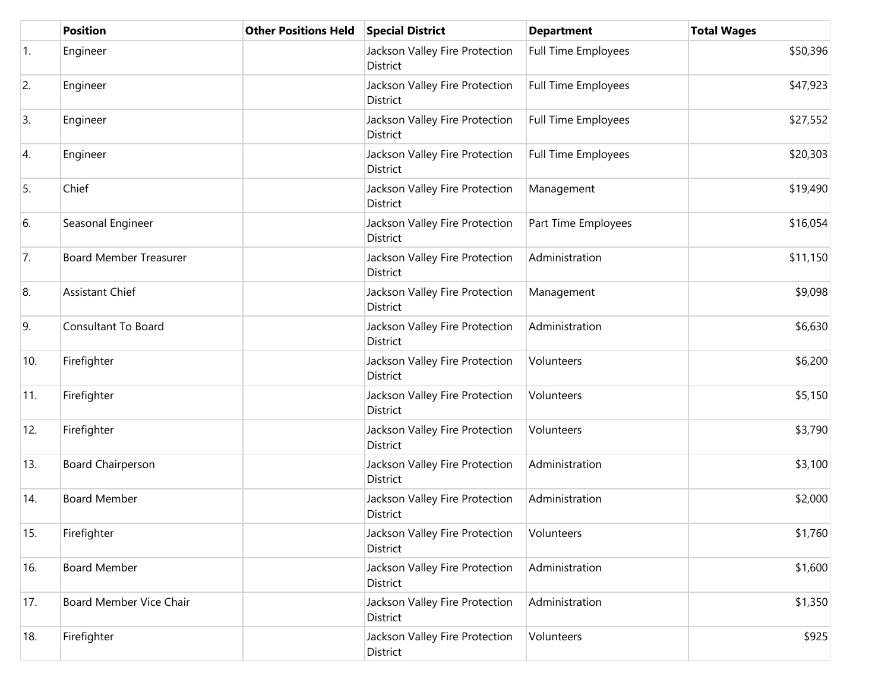|     | <b>Position</b>               | <b>Other Positions Held</b> | <b>Special District</b>                           | <b>Department</b>          | <b>Total Wages</b> |
|-----|-------------------------------|-----------------------------|---------------------------------------------------|----------------------------|--------------------|
| 1.  | Engineer                      |                             | Jackson Valley Fire Protection<br>District        | <b>Full Time Employees</b> | \$50,396           |
| 2.  | Engineer                      |                             | Jackson Valley Fire Protection<br>District        | Full Time Employees        | \$47,923           |
| 3.  | Engineer                      |                             | Jackson Valley Fire Protection<br>District        | <b>Full Time Employees</b> | \$27,552           |
| 4.  | Engineer                      |                             | Jackson Valley Fire Protection<br>District        | <b>Full Time Employees</b> | \$20,303           |
| 5.  | Chief                         |                             | Jackson Valley Fire Protection<br>District        | Management                 | \$19,490           |
| 6.  | Seasonal Engineer             |                             | Jackson Valley Fire Protection<br>District        | Part Time Employees        | \$16,054           |
| 7.  | <b>Board Member Treasurer</b> |                             | Jackson Valley Fire Protection<br>District        | Administration             | \$11,150           |
| 8.  | <b>Assistant Chief</b>        |                             | Jackson Valley Fire Protection<br>District        | Management                 | \$9,098            |
| 9.  | Consultant To Board           |                             | Jackson Valley Fire Protection<br>District        | Administration             | \$6,630            |
| 10. | Firefighter                   |                             | Jackson Valley Fire Protection<br>District        | Volunteers                 | \$6,200            |
| 11. | Firefighter                   |                             | Jackson Valley Fire Protection<br>District        | Volunteers                 | \$5,150            |
| 12. | Firefighter                   |                             | Jackson Valley Fire Protection<br>District        | Volunteers                 | \$3,790            |
| 13. | <b>Board Chairperson</b>      |                             | Jackson Valley Fire Protection<br>District        | Administration             | \$3,100            |
| 14. | <b>Board Member</b>           |                             | Jackson Valley Fire Protection<br>District        | Administration             | \$2,000            |
| 15. | Firefighter                   |                             | Jackson Valley Fire Protection<br>District        | Volunteers                 | \$1,760            |
| 16. | <b>Board Member</b>           |                             | Jackson Valley Fire Protection<br><b>District</b> | Administration             | \$1,600            |
| 17. | Board Member Vice Chair       |                             | Jackson Valley Fire Protection<br>District        | Administration             | \$1,350            |
| 18. | Firefighter                   |                             | Jackson Valley Fire Protection<br>District        | Volunteers                 | \$925              |